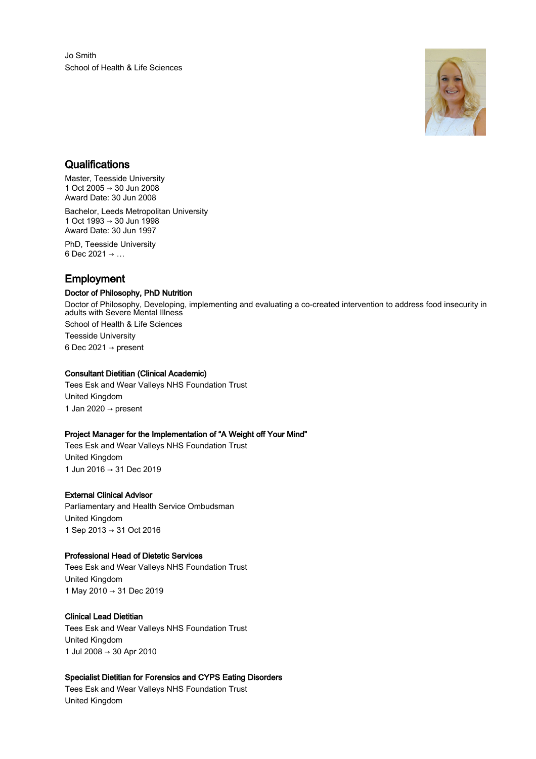Jo Smith School of Health & Life Sciences



# **Qualifications**

Master, Teesside University 1 Oct 2005 → 30 Jun 2008 Award Date: 30 Jun 2008

Bachelor, Leeds Metropolitan University 1 Oct 1993 → 30 Jun 1998 Award Date: 30 Jun 1997 PhD, Teesside University

6 Dec 2021  $\rightarrow$  ...

# Employment

# Doctor of Philosophy, PhD Nutrition

Doctor of Philosophy, Developing, implementing and evaluating a co-created intervention to address food insecurity in adults with Severe Mental Illness School of Health & Life Sciences Teesside University 6 Dec 2021  $\rightarrow$  present

### Consultant Dietitian (Clinical Academic)

Tees Esk and Wear Valleys NHS Foundation Trust United Kingdom 1 Jan 2020  $\rightarrow$  present

# Project Manager for the Implementation of "A Weight off Your Mind"

Tees Esk and Wear Valleys NHS Foundation Trust United Kingdom 1 Jun 2016 → 31 Dec 2019

#### External Clinical Advisor

Parliamentary and Health Service Ombudsman United Kingdom 1 Sep 2013 → 31 Oct 2016

#### Professional Head of Dietetic Services

Tees Esk and Wear Valleys NHS Foundation Trust United Kingdom 1 May 2010 → 31 Dec 2019

# Clinical Lead Dietitian

Tees Esk and Wear Valleys NHS Foundation Trust United Kingdom 1 Jul 2008 → 30 Apr 2010

# Specialist Dietitian for Forensics and CYPS Eating Disorders

Tees Esk and Wear Valleys NHS Foundation Trust United Kingdom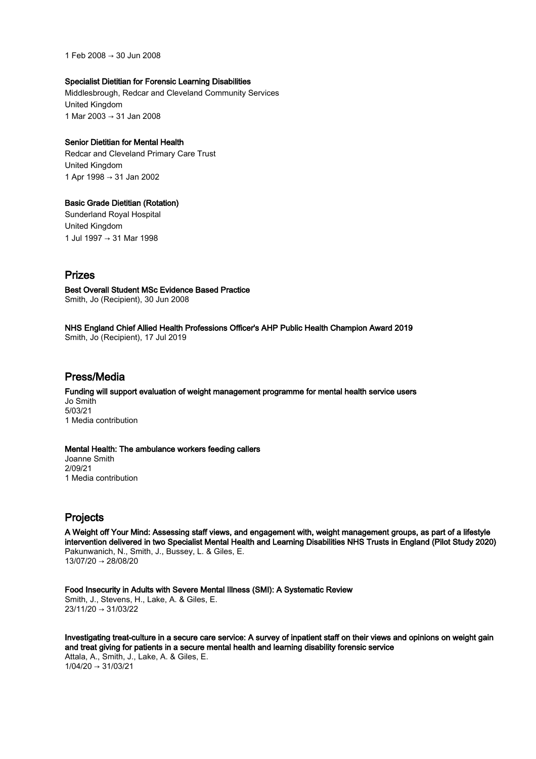1 Feb 2008 → 30 Jun 2008

#### Specialist Dietitian for Forensic Learning Disabilities

Middlesbrough, Redcar and Cleveland Community Services United Kingdom 1 Mar 2003 → 31 Jan 2008

#### Senior Dietitian for Mental Health

Redcar and Cleveland Primary Care Trust United Kingdom 1 Apr 1998 → 31 Jan 2002

### Basic Grade Dietitian (Rotation)

Sunderland Royal Hospital United Kingdom 1 Jul 1997 → 31 Mar 1998

# Prizes

Best Overall Student MSc Evidence Based Practice Smith, Jo (Recipient), 30 Jun 2008

NHS England Chief Allied Health Professions Officer's AHP Public Health Champion Award 2019 Smith, Jo (Recipient), 17 Jul 2019

# Press/Media

Funding will support evaluation of weight management programme for mental health service users Jo Smith 5/03/21 1 Media contribution

### Mental Health: The ambulance workers feeding callers

Joanne Smith 2/09/21 1 Media contribution

# Projects

A Weight off Your Mind: Assessing staff views, and engagement with, weight management groups, as part of a lifestyle intervention delivered in two Specialist Mental Health and Learning Disabilities NHS Trusts in England (Pilot Study 2020) Pakunwanich, N., Smith, J., Bussey, L. & Giles, E. 13/07/20 → 28/08/20

Food Insecurity in Adults with Severe Mental Illness (SMI): A Systematic Review Smith, J., Stevens, H., Lake, A. & Giles, E. 23/11/20 → 31/03/22

Investigating treat-culture in a secure care service: A survey of inpatient staff on their views and opinions on weight gain and treat giving for patients in a secure mental health and learning disability forensic service Attala, A., Smith, J., Lake, A. & Giles, E.  $1/04/20 \rightarrow 31/03/21$